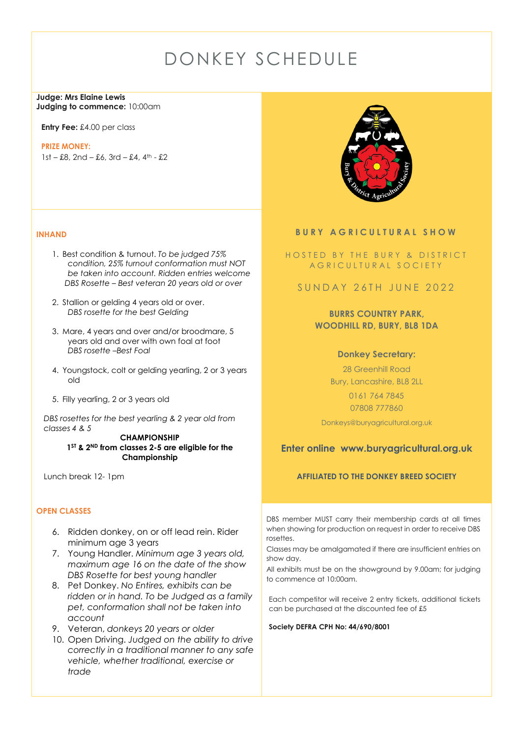# DONKEY SCHEDULE

#### **Judge: Mrs Elaine Lewis Judging to commence:** 10:00am

**Entry Fee:** £4.00 per class

#### **PRIZE MONEY:**

 $1st - £8$ ,  $2nd - £6$ ,  $3rd - £4$ ,  $4<sup>th</sup> - £2$ 

## **INHAND**

- 1. Best condition & turnout. *To be judged 75% condition, 25% turnout conformation must NOT be taken into account. Ridden entries welcome DBS Rosette – Best veteran 20 years old or over*
- 2. Stallion or gelding 4 years old or over. *DBS rosette for the best Gelding*
- 3. Mare, 4 years and over and/or broodmare, 5 years old and over with own foal at foot *DBS rosette –Best Foal*
- 4. Youngstock, colt or gelding yearling, 2 or 3 years old
- 5. Filly yearling, 2 or 3 years old

*DBS rosettes for the best yearling & 2 year old from classes 4 & 5*

> **CHAMPIONSHIP 1ST & 2ND from classes 2-5 are eligible for the Championship**

Lunch break 12- 1pm

## **OPEN CLASSES**

- 6. Ridden donkey, on or off lead rein. Rider minimum age 3 years
- 7. Young Handler. *Minimum age 3 years old, maximum age 16 on the date of the show DBS Rosette for best young handler*
- 8. Pet Donkey. *No Entires, exhibits can be ridden or in hand. To be Judged as a family pet, conformation shall not be taken into account*
- 9. Veteran, *donkeys 20 years or older*
- 10. Open Driving. *Judged on the ability to drive correctly in a traditional manner to any safe vehicle, whether traditional, exercise or trade*



## **BURY AGRICULTURAL SHOW**

## HOSTED BY THE BURY & DISTRICT A G R I C U L T U R A L S O C I E T Y

## SUNDAY 26TH JUNE 2022

## **BURRS COUNTRY PARK, WOODHILL RD, BURY, BL8 1DA**

## **Donkey Secretary:**

28 Greenhill Road Bury, Lancashire, BL8 2LL 0161 764 7845 07808 777860

Donkeys@buryagricultural.org.uk

## **Enter online www.buryagricultural.org.uk**

## **AFFILIATED TO THE DONKEY BREED SOCIETY**

DBS member MUST carry their membership cards at all times when showing for production on request in order to receive DBS rosettes.

Classes may be amalgamated if there are insufficient entries on show day.

All exhibits must be on the showground by 9.00am; for judging to commence at 10:00am.

Each competitor will receive 2 entry tickets, additional tickets can be purchased at the discounted fee of £5

**Society DEFRA CPH No: 44/690/8001**